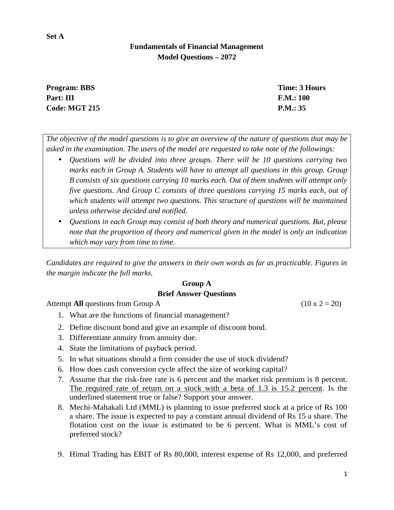# **Fundamentals of Financial Management Model Questions – 2072**

| <b>Program: BBS</b>  | Time: 3 Hours |
|----------------------|---------------|
| Part: III            | F.M.: 100     |
| <b>Code: MGT 215</b> | P.M.: 35      |

*The objective of the model questions is to give an overview of the nature of questions that may be asked in the examination. The users of the model are requested to take note of the followings:*

- *Questions will be divided into three groups. There will be 10 questions carrying two marks each in Group A. Students will have to attempt all questions in this group. Group B consists of six questions carrying 10 marks each. Out of them students will attempt only five questions. And Group C consists of three questions carrying 15 marks each, out of which students will attempt two questions. This structure of questions will be maintained unless otherwise decided and notified.*
- *Questions in each Group may consist of both theory and numerical questions. But, please note that the proportion of theory and numerical given in the model is only an indication which may vary from time to time.*

*Candidates are required to give the answers in their own words as far as practicable. Figures in the margin indicate the full marks.*

## **Group A Brief Answer Questions**

Attempt **All** questions from Group A (10 x 2 = 20)

- 1. What are the functions of financial management?
- 2. Define discount bond and give an example of discount bond.
- 3. Differentiate annuity from annuity due.
- 4. State the limitations of payback period.
- 5. In what situations should a firm consider the use of stock dividend?
- 6. How does cash conversion cycle affect the size of working capital?
- 7. Assume that the risk-free rate is 6 percent and the market risk premium is 8 percent. The required rate of return on a stock with a beta of 1.3 is 15.2 percent. Is the underlined statement true or false? Support your answer.
- 8. Mechi-Mahakali Ltd (MML) is planning to issue preferred stock at a price of Rs 100 a share. The issue is expected to pay a constant annual dividend of Rs 15 a share. The flotation cost on the issue is estimated to be 6 percent. What is MML's cost of preferred stock?
- 9. Himal Trading has EBIT of Rs 80,000, interest expense of Rs 12,000, and preferred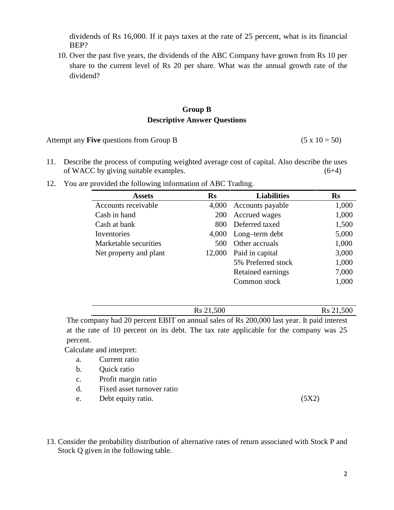dividends of Rs 16,000. If it pays taxes at the rate of 25 percent, what is its financial BEP?

10. Over the past five years, the dividends of the ABC Company have grown from Rs 10 per share to the current level of Rs 20 per share. What was the annual growth rate of the dividend?

## **Group B Descriptive Answer Questions**

Attempt any **Five** questions from Group B (5 x  $10 = 50$ )

- 11. Describe the process of computing weighted average cost of capital. Also describe the uses of WACC by giving suitable examples. (6+4)
- 12. You are provided the following information of ABC Trading.

| <b>Assets</b>          | $\mathbf{R}$ s | <b>Liabilities</b>   | <b>Rs</b> |
|------------------------|----------------|----------------------|-----------|
| Accounts receivable    | 4,000          | Accounts payable     | 1,000     |
| Cash in hand           | <b>200</b>     | Accrued wages        | 1,000     |
| Cash at bank           |                | 800 Deferred taxed   | 1,500     |
| Inventories            |                | 4,000 Long-term debt | 5,000     |
| Marketable securities  | 500            | Other accruals       | 1,000     |
| Net property and plant | 12,000         | Paid in capital      | 3,000     |
|                        |                | 5% Preferred stock   | 1,000     |
|                        |                | Retained earnings    | 7,000     |
|                        |                | Common stock         | 1,000     |

Rs 21,500 Rs 21,500

The company had 20 percent EBIT on annual sales of Rs 200,000 last year. It paid interest at the rate of 10 percent on its debt. The tax rate applicable for the company was 25 percent.

Calculate and interpret:

- a. Current ratio
- b. Quick ratio
- c. Profit margin ratio
- d. Fixed asset turnover ratio
- e. Debt equity ratio. (5X2)
- 13. Consider the probability distribution of alternative rates of return associated with Stock P and Stock Q given in the following table.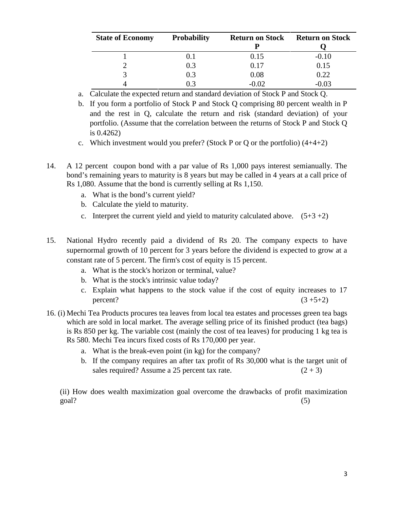| <b>State of Economy</b> | <b>Probability</b> | <b>Return on Stock</b> | <b>Return on Stock</b> |
|-------------------------|--------------------|------------------------|------------------------|
|                         |                    |                        |                        |
|                         |                    | 0.15                   | $-0.10$                |
|                         | 0.3                | 0.17                   | 0.15                   |
| C.                      | 0.3                | 0.08                   | 0.22                   |
|                         |                    | $-0.02$                | -0.03                  |

a. Calculate the expected return and standard deviation of Stock P and Stock Q.

- b. If you form a portfolio of Stock P and Stock Q comprising 80 percent wealth in P and the rest in Q, calculate the return and risk (standard deviation) of your portfolio. (Assume that the correlation between the returns of Stock P and Stock Q is 0.4262)
- c. Which investment would you prefer? (Stock P or Q or the portfolio)  $(4+4+2)$
- 14. A 12 percent coupon bond with a par value of Rs 1,000 pays interest semianually. The bond's remaining years to maturity is 8 years but may be called in 4 years at a call price of Rs 1,080. Assume that the bond is currently selling at Rs 1,150.
	- a. What is the bond's current yield?
	- b. Calculate the yield to maturity.
	- c. Interpret the current yield and yield to maturity calculated above.  $(5+3+2)$
- 15. National Hydro recently paid a dividend of Rs 20. The company expects to have supernormal growth of 10 percent for 3 years before the dividend is expected to grow at a constant rate of 5 percent. The firm's cost of equity is 15 percent.
	- a. What is the stock's horizon or terminal, value?
	- b. What is the stock's intrinsic value today?
	- c. Explain what happens to the stock value if the cost of equity increases to 17 percent?  $(3 + 5 + 2)$
- 16. (i) Mechi Tea Products procures tea leaves from local tea estates and processes green tea bags which are sold in local market. The average selling price of its finished product (tea bags) is Rs 850 per kg. The variable cost (mainly the cost of tea leaves) for producing 1 kg tea is Rs 580. Mechi Tea incurs fixed costs of Rs 170,000 per year.
	- a. What is the break-even point (in kg) for the company?
	- b. If the company requires an after tax profit of Rs 30,000 what is the target unit of sales required? Assume a 25 percent tax rate.  $(2 + 3)$

(ii) How does wealth maximization goal overcome the drawbacks of profit maximization goal? (5)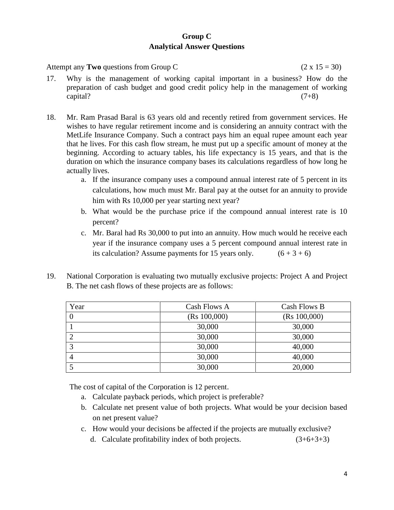## **Group C Analytical Answer Questions**

Attempt any **Two** questions from Group C (2 x 15 = 30)

- 17. Why is the management of working capital important in a business? How do the preparation of cash budget and good credit policy help in the management of working  $\text{capital?}$  (7+8)
- 18. Mr. Ram Prasad Baral is 63 years old and recently retired from government services. He wishes to have regular retirement income and is considering an annuity contract with the MetLife Insurance Company. Such a contract pays him an equal rupee amount each year that he lives. For this cash flow stream, he must put up a specific amount of money at the beginning. According to actuary tables, his life expectancy is 15 years, and that is the duration on which the insurance company bases its calculations regardless of how long he actually lives.
	- a. If the insurance company uses a compound annual interest rate of 5 percent in its calculations, how much must Mr. Baral pay at the outset for an annuity to provide him with Rs 10,000 per year starting next year?
	- b. What would be the purchase price if the compound annual interest rate is 10 percent?
	- c. Mr. Baral had Rs 30,000 to put into an annuity. How much would he receive each year if the insurance company uses a 5 percent compound annual interest rate in its calculation? Assume payments for 15 years only.  $(6 + 3 + 6)$
- 19. National Corporation is evaluating two mutually exclusive projects: Project A and Project B. The net cash flows of these projects are as follows:

| Year | Cash Flows A | Cash Flows B |
|------|--------------|--------------|
|      | (Rs 100,000) | (Rs 100,000) |
|      | 30,000       | 30,000       |
|      | 30,000       | 30,000       |
| 3    | 30,000       | 40,000       |
| 4    | 30,000       | 40,000       |
|      | 30,000       | 20,000       |

The cost of capital of the Corporation is 12 percent.

- a. Calculate payback periods, which project is preferable?
- b. Calculate net present value of both projects. What would be your decision based on net present value?
- c. How would your decisions be affected if the projects are mutually exclusive?
	- d. Calculate profitability index of both projects.  $(3+6+3+3)$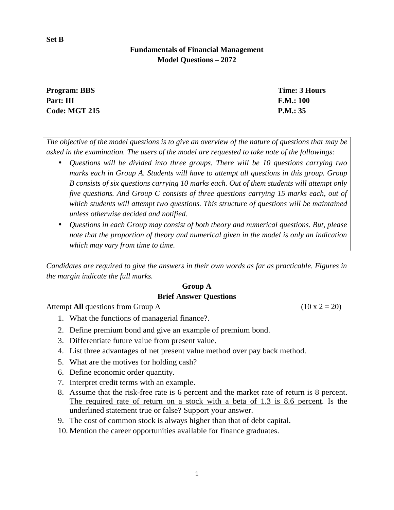# **Fundamentals of Financial Management Model Questions – 2072**

| <b>Program: BBS</b>  | Time: 3 Hours |
|----------------------|---------------|
| Part: III            | F.M.: 100     |
| <b>Code: MGT 215</b> | P.M.: 35      |

*The objective of the model questions is to give an overview of the nature of questions that may be asked in the examination. The users of the model are requested to take note of the followings:*

- *Questions will be divided into three groups. There will be 10 questions carrying two marks each in Group A. Students will have to attempt all questions in this group. Group B consists of six questions carrying 10 marks each. Out of them students will attempt only five questions. And Group C consists of three questions carrying 15 marks each, out of which students will attempt two questions. This structure of questions will be maintained unless otherwise decided and notified.*
- *Questions in each Group may consist of both theory and numerical questions. But, please note that the proportion of theory and numerical given in the model is only an indication which may vary from time to time.*

*Candidates are required to give the answers in their own words as far as practicable. Figures in the margin indicate the full marks.*

#### **Group A**

### **Brief Answer Questions**

Attempt **All** questions from Group A (10 x 2 = 20)

- 1. What the functions of managerial finance?.
- 2. Define premium bond and give an example of premium bond.
- 3. Differentiate future value from present value.
- 4. List three advantages of net present value method over pay back method.
- 5. What are the motives for holding cash?
- 6. Define economic order quantity.
- 7. Interpret credit terms with an example.
- 8. Assume that the risk-free rate is 6 percent and the market rate of return is 8 percent. The required rate of return on a stock with a beta of 1.3 is 8.6 percent. Is the underlined statement true or false? Support your answer.
- 9. The cost of common stock is always higher than that of debt capital.
- 10. Mention the career opportunities available for finance graduates.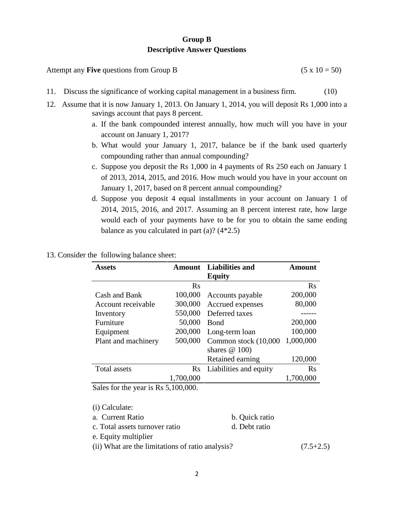## **Group B Descriptive Answer Questions**

| Attempt any <b>Five</b> questions from Group B | $(5 \times 10 = 50)$ |  |
|------------------------------------------------|----------------------|--|
|------------------------------------------------|----------------------|--|

- 11. Discuss the significance of working capital management in a business firm. (10)
- 12. Assume that it is now January 1, 2013. On January 1, 2014, you will deposit Rs 1,000 into a savings account that pays 8 percent.
	- a. If the bank compounded interest annually, how much will you have in your account on January 1, 2017?
	- b. What would your January 1, 2017, balance be if the bank used quarterly compounding rather than annual compounding?
	- c. Suppose you deposit the Rs 1,000 in 4 payments of Rs 250 each on January 1 of 2013, 2014, 2015, and 2016. How much would you have in your account on January 1, 2017, based on 8 percent annual compounding?
	- d. Suppose you deposit 4 equal installments in your account on January 1 of 2014, 2015, 2016, and 2017. Assuming an 8 percent interest rate, how large would each of your payments have to be for you to obtain the same ending balance as you calculated in part (a)?  $(4*2.5)$
- 13. Consider the following balance sheet:

| Assets                      |                                                  | <b>Amount</b> Liabilities and | Amount    |
|-----------------------------|--------------------------------------------------|-------------------------------|-----------|
|                             |                                                  | <b>Equity</b>                 |           |
|                             | $\rm Rs$                                         |                               | Rs        |
| Cash and Bank               | 100,000                                          | Accounts payable              | 200,000   |
| Account receivable          | 300,000                                          | Accrued expenses              | 80,000    |
| Inventory                   | 550,000                                          | Deferred taxes                |           |
| Furniture                   | 50,000                                           | <b>B</b> ond                  | 200,000   |
| Equipment                   | 200,000                                          | Long-term loan                | 100,000   |
| Plant and machinery         | 500,000                                          | Common stock (10,000          | 1,000,000 |
|                             |                                                  | shares $@100$                 |           |
|                             |                                                  | Retained earning              | 120,000   |
| <b>Total assets</b>         |                                                  | Rs Liabilities and equity     | Rs        |
|                             | 1,700,000                                        |                               | 1,700,000 |
| $\sim$ $\sim$ $\sim$ $\sim$ | $\sim$ $\sim$ $\sim$ $\sim$ $\sim$ $\sim$ $\sim$ |                               |           |

Sales for the year is Rs 5,100,000.

| (i) Calculate:                                   |                |             |
|--------------------------------------------------|----------------|-------------|
| a. Current Ratio                                 | b. Quick ratio |             |
| c. Total assets turnover ratio                   | d. Debt ratio  |             |
| e. Equity multiplier                             |                |             |
| (ii) What are the limitations of ratio analysis? |                | $(7.5+2.5)$ |
|                                                  |                |             |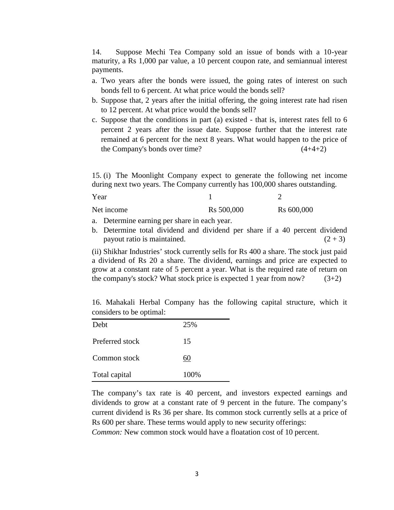14. Suppose Mechi Tea Company sold an issue of bonds with a 10-year maturity, a Rs 1,000 par value, a 10 percent coupon rate, and semiannual interest payments.

- a. Two years after the bonds were issued, the going rates of interest on such bonds fell to 6 percent. At what price would the bonds sell?
- b. Suppose that, 2 years after the initial offering, the going interest rate had risen to 12 percent. At what price would the bonds sell?
- c. Suppose that the conditions in part (a) existed that is, interest rates fell to 6 percent 2 years after the issue date. Suppose further that the interest rate remained at 6 percent for the next 8 years. What would happen to the price of the Company's bonds over time?  $(4+4+2)$

**15.** (i) The Moonlight Company expect to generate the following net income during next two years. The Company currently has 100,000 shares outstanding.

| Year       |                        | ∸                      |
|------------|------------------------|------------------------|
| Net income | R <sub>s</sub> 500,000 | R <sub>s</sub> 600,000 |

- a. Determine earning per share in each year.
- b. Determine total dividend and dividend per share if a 40 percent dividend payout ratio is maintained.  $(2 + 3)$

**Illustration 5.5** (ii) Shikhar Industries' stock currently sells for Rs 400 a share. The stock just paid a dividend of Rs 20 a share. The dividend, earnings and price are expected to grow at a constant rate of 5 percent a year. What is the required rate of return on the company's stock? What stock price is expected 1 year from now?  $(3+2)$ 

16. Mahakali Herbal Company has the following capital structure, which it considers to be optimal:

| Debt            | 25%  |
|-----------------|------|
| Preferred stock | 15   |
| Common stock    | 60   |
| Total capital   | 100% |

The company's tax rate is 40 percent, and investors expected earnings and dividends to grow at a constant rate of 9 percent in the future. The company's current dividend is Rs 36 per share. Its common stock currently sells at a price of Rs 600 per share. These terms would apply to new security offerings:

*Common:* New common stock would have a floatation cost of 10 percent.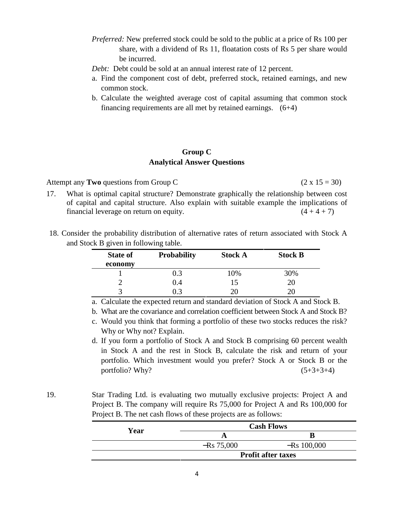- *Preferred:* New preferred stock could be sold to the public at a price of Rs 100 per share, with a dividend of Rs 11, floatation costs of Rs 5 per share would be incurred.
- *Debt:* Debt could be sold at an annual interest rate of 12 percent.
- a. Find the component cost of debt, preferred stock, retained earnings, and new common stock.
- b. Calculate the weighted average cost of capital assuming that common stock financing requirements are all met by retained earnings. (6+4)

### **Group C Analytical Answer Questions**

Attempt any **Two** questions from Group C (2 x 15 = 30)

- 17. What is optimal capital structure? Demonstrate graphically the relationship between cost of capital and capital structure. Also explain with suitable example the implications of financial leverage on return on equity.  $(4 + 4 + 7)$
- 18. Consider the probability distribution of alternative rates of return associated with Stock A and Stock B given in following table.

| <b>State of</b> | <b>Probability</b> | <b>Stock A</b> | <b>Stock B</b> |
|-----------------|--------------------|----------------|----------------|
| economy         |                    |                |                |
|                 | 0.3                | 10%            | 30%            |
|                 | 0.4                | ל.ו            | 20             |
|                 |                    |                |                |

a. Calculate the expected return and standard deviation of Stock A and Stock B.

- b. What are the covariance and correlation coefficient between Stock A and Stock B?
- c. Would you think that forming a portfolio of these two stocks reduces the risk? Why or Why not? Explain.
- d. If you form a portfolio of Stock A and Stock B comprising 60 percent wealth in Stock A and the rest in Stock B, calculate the risk and return of your portfolio. Which investment would you prefer? Stock A or Stock B or the portfolio? Why?  $(5+3+3+4)$
- 19. Star Trading Ltd. is evaluating two mutually exclusive projects: Project A and Project B. The company will require Rs 75,000 for Project A and Rs 100,000 for Project B. The net cash flows of these projects are as follows:

|      |                           | <b>Cash Flows</b> |
|------|---------------------------|-------------------|
| Year |                           | R                 |
|      | $-Rs 75,000$              | $-Rs$ 100,000     |
|      | <b>Profit after taxes</b> |                   |
|      |                           |                   |